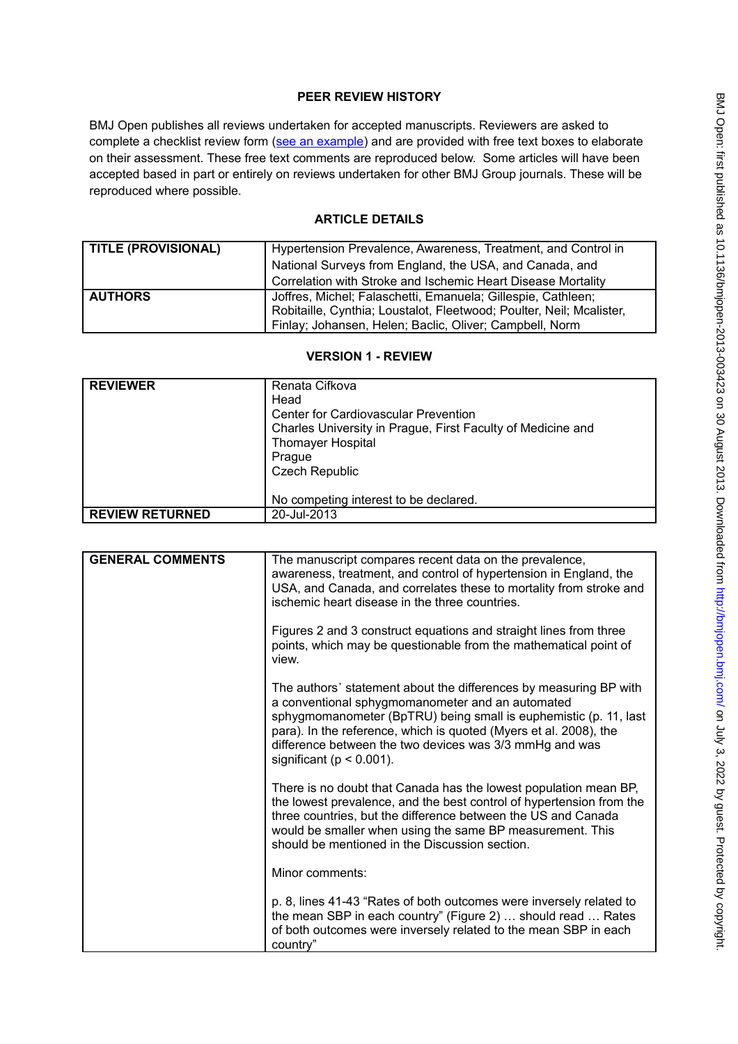## **PEER REVIEW HISTORY**

BMJ Open publishes all reviews undertaken for accepted manuscripts. Reviewers are asked to complete a checklist review form [\(see an example\)](http://bmjopen.bmj.com/site/about/resources/ScholarOne_Manuscripts.pdf) and are provided with free text boxes to elaborate on their assessment. These free text comments are reproduced below. Some articles will have been accepted based in part or entirely on reviews undertaken for other BMJ Group journals. These will be reproduced where possible.

## **ARTICLE DETAILS**

| <b>TITLE (PROVISIONAL)</b> | Hypertension Prevalence, Awareness, Treatment, and Control in        |
|----------------------------|----------------------------------------------------------------------|
|                            | National Surveys from England, the USA, and Canada, and              |
|                            | Correlation with Stroke and Ischemic Heart Disease Mortality         |
| <b>AUTHORS</b>             | Joffres, Michel; Falaschetti, Emanuela; Gillespie, Cathleen;         |
|                            | Robitaille, Cynthia; Loustalot, Fleetwood; Poulter, Neil; Mcalister, |
|                            | Finlay; Johansen, Helen; Baclic, Oliver; Campbell, Norm              |

## **VERSION 1 - REVIEW**

| <b>REVIEWER</b>        | Renata Cifkova<br>Head<br>Center for Cardiovascular Prevention<br>Charles University in Prague, First Faculty of Medicine and<br><b>Thomayer Hospital</b><br>Prague<br><b>Czech Republic</b> |
|------------------------|----------------------------------------------------------------------------------------------------------------------------------------------------------------------------------------------|
|                        | No competing interest to be declared.                                                                                                                                                        |
| <b>REVIEW RETURNED</b> | 20-Jul-2013                                                                                                                                                                                  |

| <b>GENERAL COMMENTS</b> | The manuscript compares recent data on the prevalence,<br>awareness, treatment, and control of hypertension in England, the<br>USA, and Canada, and correlates these to mortality from stroke and<br>ischemic heart disease in the three countries.                                                                                                       |
|-------------------------|-----------------------------------------------------------------------------------------------------------------------------------------------------------------------------------------------------------------------------------------------------------------------------------------------------------------------------------------------------------|
|                         | Figures 2 and 3 construct equations and straight lines from three<br>points, which may be questionable from the mathematical point of<br>view.                                                                                                                                                                                                            |
|                         | The authors' statement about the differences by measuring BP with<br>a conventional sphygmomanometer and an automated<br>sphygmomanometer (BpTRU) being small is euphemistic (p. 11, last<br>para). In the reference, which is quoted (Myers et al. 2008), the<br>difference between the two devices was 3/3 mmHg and was<br>significant ( $p < 0.001$ ). |
|                         | There is no doubt that Canada has the lowest population mean BP,<br>the lowest prevalence, and the best control of hypertension from the<br>three countries, but the difference between the US and Canada<br>would be smaller when using the same BP measurement. This<br>should be mentioned in the Discussion section.                                  |
|                         | Minor comments:                                                                                                                                                                                                                                                                                                                                           |
|                         | p. 8, lines 41-43 "Rates of both outcomes were inversely related to<br>the mean SBP in each country" (Figure 2)  should read  Rates<br>of both outcomes were inversely related to the mean SBP in each<br>country"                                                                                                                                        |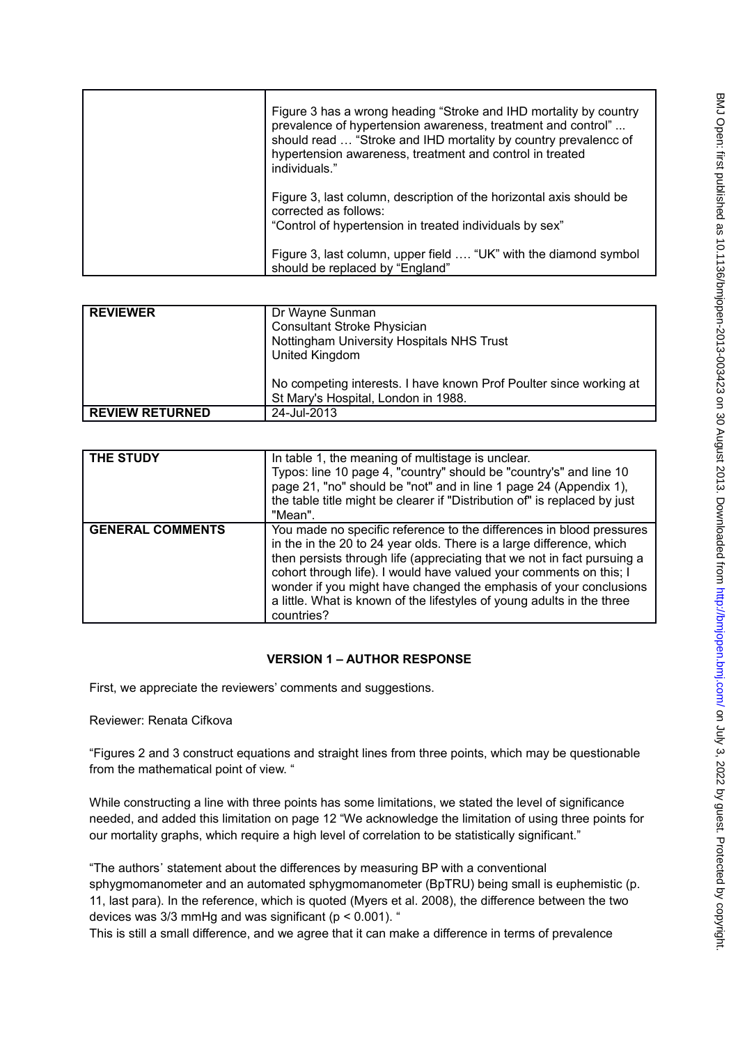| Figure 3 has a wrong heading "Stroke and IHD mortality by country<br>prevalence of hypertension awareness, treatment and control"<br>should read  "Stroke and IHD mortality by country prevalence of<br>hypertension awareness, treatment and control in treated<br>individuals." |
|-----------------------------------------------------------------------------------------------------------------------------------------------------------------------------------------------------------------------------------------------------------------------------------|
| Figure 3, last column, description of the horizontal axis should be<br>corrected as follows:<br>"Control of hypertension in treated individuals by sex"                                                                                                                           |
| Figure 3, last column, upper field  "UK" with the diamond symbol<br>should be replaced by "England"                                                                                                                                                                               |

| <b>REVIEWER</b>        | Dr Wayne Sunman<br><b>Consultant Stroke Physician</b><br>Nottingham University Hospitals NHS Trust<br>United Kingdom |
|------------------------|----------------------------------------------------------------------------------------------------------------------|
|                        | No competing interests. I have known Prof Poulter since working at<br>St Mary's Hospital, London in 1988.            |
| <b>REVIEW RETURNED</b> | 24-Jul-2013                                                                                                          |

| THE STUDY               | In table 1, the meaning of multistage is unclear.<br>Typos: line 10 page 4, "country" should be "country's" and line 10<br>page 21, "no" should be "not" and in line 1 page 24 (Appendix 1),<br>the table title might be clearer if "Distribution of" is replaced by just<br>"Mean".                                                                                                                                                                       |
|-------------------------|------------------------------------------------------------------------------------------------------------------------------------------------------------------------------------------------------------------------------------------------------------------------------------------------------------------------------------------------------------------------------------------------------------------------------------------------------------|
| <b>GENERAL COMMENTS</b> | You made no specific reference to the differences in blood pressures<br>in the in the 20 to 24 year olds. There is a large difference, which<br>then persists through life (appreciating that we not in fact pursuing a<br>cohort through life). I would have valued your comments on this; I<br>wonder if you might have changed the emphasis of your conclusions<br>a little. What is known of the lifestyles of young adults in the three<br>countries? |

## **VERSION 1 – AUTHOR RESPONSE**

First, we appreciate the reviewers' comments and suggestions.

Reviewer: Renata Cifkova

"Figures 2 and 3 construct equations and straight lines from three points, which may be questionable from the mathematical point of view. "

While constructing a line with three points has some limitations, we stated the level of significance needed, and added this limitation on page 12 "We acknowledge the limitation of using three points for our mortality graphs, which require a high level of correlation to be statistically significant."

"The authors᾿ statement about the differences by measuring BP with a conventional sphygmomanometer and an automated sphygmomanometer (BpTRU) being small is euphemistic (p. 11, last para). In the reference, which is quoted (Myers et al. 2008), the difference between the two devices was 3/3 mmHg and was significant (p < 0.001). "

This is still a small difference, and we agree that it can make a difference in terms of prevalence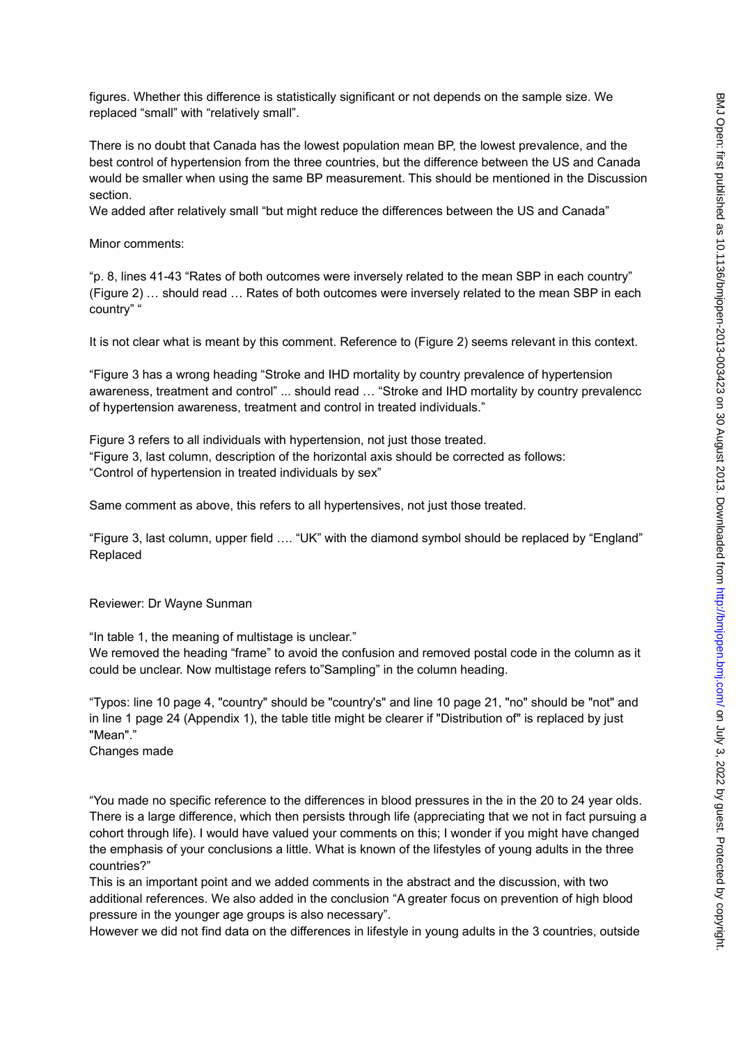figures. Whether this difference is statistically significant or not depends on the sample size. We replaced "small" with "relatively small".

There is no doubt that Canada has the lowest population mean BP, the lowest prevalence, and the best control of hypertension from the three countries, but the difference between the US and Canada would be smaller when using the same BP measurement. This should be mentioned in the Discussion section.

We added after relatively small "but might reduce the differences between the US and Canada"

Minor comments:

"p. 8, lines 41-43 "Rates of both outcomes were inversely related to the mean SBP in each country" (Figure 2) … should read … Rates of both outcomes were inversely related to the mean SBP in each country" "

It is not clear what is meant by this comment. Reference to (Figure 2) seems relevant in this context.

"Figure 3 has a wrong heading "Stroke and IHD mortality by country prevalence of hypertension awareness, treatment and control" ... should read … "Stroke and IHD mortality by country prevalencc of hypertension awareness, treatment and control in treated individuals."

Figure 3 refers to all individuals with hypertension, not just those treated. "Figure 3, last column, description of the horizontal axis should be corrected as follows: "Control of hypertension in treated individuals by sex"

Same comment as above, this refers to all hypertensives, not just those treated.

"Figure 3, last column, upper field …. "UK" with the diamond symbol should be replaced by "England" Replaced

Reviewer: Dr Wayne Sunman

"In table 1, the meaning of multistage is unclear."

We removed the heading "frame" to avoid the confusion and removed postal code in the column as it could be unclear. Now multistage refers to"Sampling" in the column heading.

"Typos: line 10 page 4, "country" should be "country's" and line 10 page 21, "no" should be "not" and in line 1 page 24 (Appendix 1), the table title might be clearer if "Distribution of" is replaced by just "Mean"."

Changes made

"You made no specific reference to the differences in blood pressures in the in the 20 to 24 year olds. There is a large difference, which then persists through life (appreciating that we not in fact pursuing a cohort through life). I would have valued your comments on this; I wonder if you might have changed the emphasis of your conclusions a little. What is known of the lifestyles of young adults in the three countries?"

This is an important point and we added comments in the abstract and the discussion, with two additional references. We also added in the conclusion "A greater focus on prevention of high blood pressure in the younger age groups is also necessary".

However we did not find data on the differences in lifestyle in young adults in the 3 countries, outside